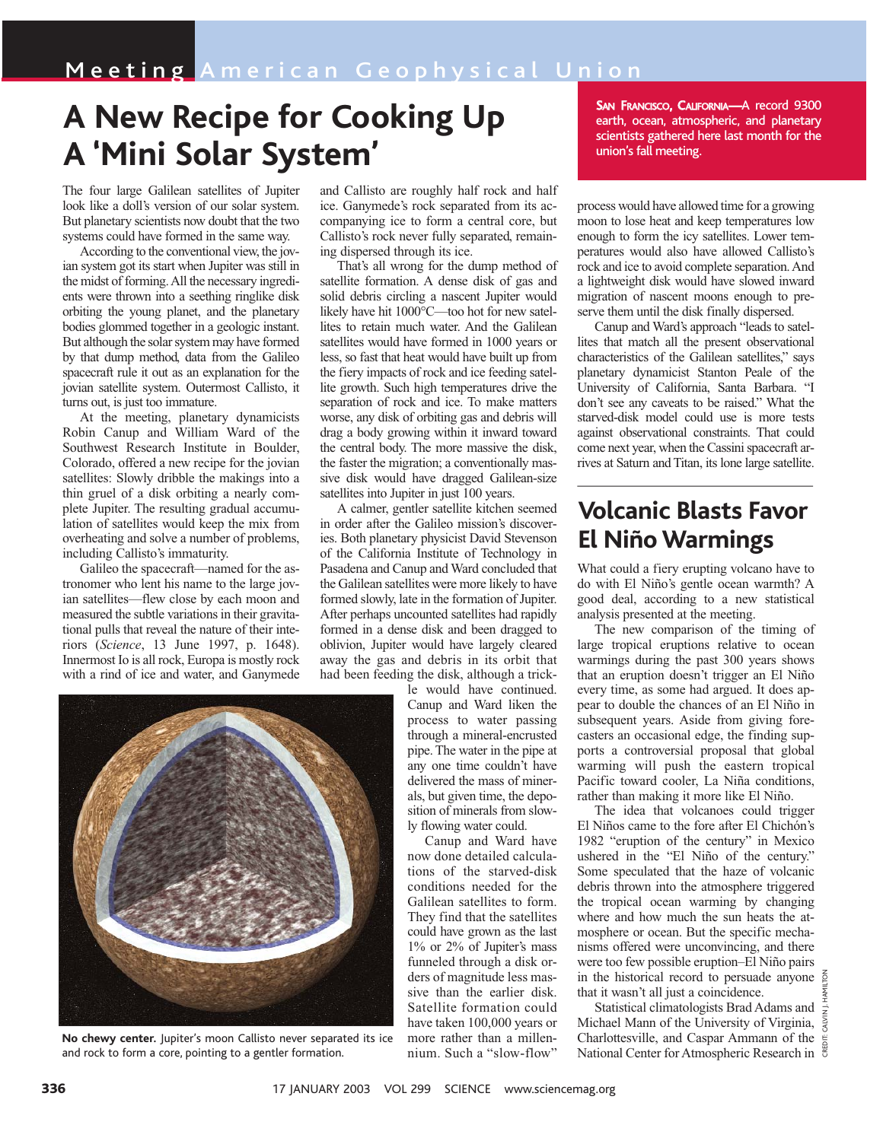## **A New Recipe for Cooking Up A 'Mini Solar System'**

The four large Galilean satellites of Jupiter look like a doll's version of our solar system. But planetary scientists now doubt that the two systems could have formed in the same way.

According to the conventional view, the jovian system got its start when Jupiter was still in the midst of forming. All the necessary ingredients were thrown into a seething ringlike disk orbiting the young planet, and the planetary bodies glommed together in a geologic instant. But although the solar system may have formed by that dump method, data from the Galileo spacecraft rule it out as an explanation for the jovian satellite system. Outermost Callisto, it turns out, is just too immature.

At the meeting, planetary dynamicists Robin Canup and William Ward of the Southwest Research Institute in Boulder, Colorado, offered a new recipe for the jovian satellites: Slowly dribble the makings into a thin gruel of a disk orbiting a nearly complete Jupiter. The resulting gradual accumulation of satellites would keep the mix from overheating and solve a number of problems, including Callisto's immaturity.

Galileo the spacecraft—named for the astronomer who lent his name to the large jovian satellites—flew close by each moon and measured the subtle variations in their gravitational pulls that reveal the nature of their interiors (*Science*, 13 June 1997, p. 1648). Innermost Io is all rock, Europa is mostly rock with a rind of ice and water, and Ganymede

and Callisto are roughly half rock and half ice. Ganymede's rock separated from its accompanying ice to form a central core, but Callisto's rock never fully separated, remaining dispersed through its ice.

That's all wrong for the dump method of satellite formation. A dense disk of gas and solid debris circling a nascent Jupiter would likely have hit 1000°C—too hot for new satellites to retain much water. And the Galilean satellites would have formed in 1000 years or less, so fast that heat would have built up from the fiery impacts of rock and ice feeding satellite growth. Such high temperatures drive the separation of rock and ice. To make matters worse, any disk of orbiting gas and debris will drag a body growing within it inward toward the central body. The more massive the disk, the faster the migration; a conventionally massive disk would have dragged Galilean-size satellites into Jupiter in just 100 years.

A calmer, gentler satellite kitchen seemed in order after the Galileo mission's discoveries. Both planetary physicist David Stevenson of the California Institute of Technology in Pasadena and Canup and Ward concluded that the Galilean satellites were more likely to have formed slowly, late in the formation of Jupiter. After perhaps uncounted satellites had rapidly formed in a dense disk and been dragged to oblivion, Jupiter would have largely cleared away the gas and debris in its orbit that had been feeding the disk, although a trick-

le would have continued. Canup and Ward liken the process to water passing through a mineral-encrusted pipe. The water in the pipe at any one time couldn't have delivered the mass of minerals, but given time, the deposition of minerals from slowly flowing water could.

Canup and Ward have now done detailed calculations of the starved-disk conditions needed for the Galilean satellites to form. They find that the satellites could have grown as the last 1% or 2% of Jupiter's mass funneled through a disk orders of magnitude less massive than the earlier disk. Satellite formation could have taken 100,000 years or more rather than a millennium. Such a "slow-flow" SAN FRANCISCO, CALIFORNIA-A record 9300 earth, ocean, atmospheric, and planetary scientists gathered here last month for the union's fall meeting.

process would have allowed time for a growing moon to lose heat and keep temperatures low enough to form the icy satellites. Lower temperatures would also have allowed Callisto's rock and ice to avoid complete separation. And a lightweight disk would have slowed inward migration of nascent moons enough to preserve them until the disk finally dispersed.

Canup and Ward's approach "leads to satellites that match all the present observational characteristics of the Galilean satellites," says planetary dynamicist Stanton Peale of the University of California, Santa Barbara. "I don't see any caveats to be raised." What the starved-disk model could use is more tests against observational constraints. That could come next year, when the Cassini spacecraft arrives at Saturn and Titan, its lone large satellite.

## **Volcanic Blasts Favor El Niño Warmings**

What could a fiery erupting volcano have to do with El Niño's gentle ocean warmth? A good deal, according to a new statistical analysis presented at the meeting.

The new comparison of the timing of large tropical eruptions relative to ocean warmings during the past 300 years shows that an eruption doesn't trigger an El Niño every time, as some had argued. It does appear to double the chances of an El Niño in subsequent years. Aside from giving forecasters an occasional edge, the finding supports a controversial proposal that global warming will push the eastern tropical Pacific toward cooler, La Niña conditions, rather than making it more like El Niño.

The idea that volcanoes could trigger El Niños came to the fore after El Chichón's 1982 "eruption of the century" in Mexico ushered in the "El Niño of the century." Some speculated that the haze of volcanic debris thrown into the atmosphere triggered the tropical ocean warming by changing where and how much the sun heats the atmosphere or ocean. But the specific mechanisms offered were unconvincing, and there were too few possible eruption–El Niño pairs in the historical record to persuade anyone  $\frac{2}{9}$ that it wasn't all just a coincidence.

CREDIT: CALVIN J. HAMILTON Statistical climatologists Brad Adams and  $\frac{1}{5}$ Michael Mann of the University of Virginia,  $\frac{5}{3}$ Charlottesville, and Caspar Ammann of the National Center for Atmospheric Research in



**No chewy center.** Jupiter's moon Callisto never separated its ice and rock to form a core, pointing to a gentler formation.